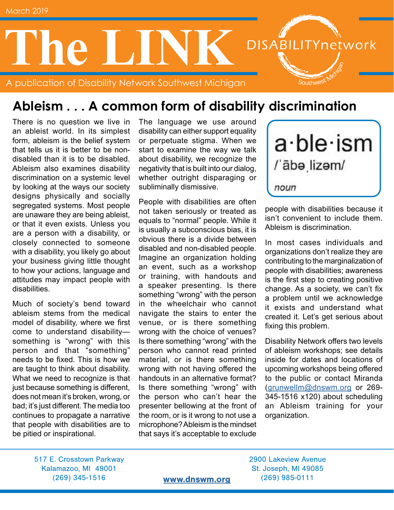

### **Ableism . . . A common form of disability discrimination**

There is no question we live in an ableist world. In its simplest form, ableism is the belief system that tells us it is better to be nondisabled than it is to be disabled. Ableism also examines disability discrimination on a systemic level by looking at the ways our society designs physically and socially segregated systems. Most people are unaware they are being ableist, or that it even exists. Unless you are a person with a disability, or closely connected to someone with a disability, you likely go about your business giving little thought to how your actions, language and attitudes may impact people with disabilities.

Much of society's bend toward ableism stems from the medical model of disability, where we first come to understand disability something is "wrong" with this person and that "something" needs to be fixed. This is how we are taught to think about disability. What we need to recognize is that just because something is different, does not mean it's broken, wrong, or bad; it's just different. The media too continues to propagate a narrative that people with disabilities are to be pitied or inspirational.

The language we use around disability can either support equality or perpetuate stigma. When we start to examine the way we talk about disability, we recognize the negativity that is built into our dialog, whether outright disparaging or subliminally dismissive.

People with disabilities are often not taken seriously or treated as equals to "normal" people. While it is usually a subconscious bias, it is obvious there is a divide between disabled and non-disabled people. Imagine an organization holding an event, such as a workshop or training, with handouts and a speaker presenting. Is there something "wrong" with the person in the wheelchair who cannot navigate the stairs to enter the venue, or is there something wrong with the choice of venues? Is there something "wrong" with the person who cannot read printed material, or is there something wrong with not having offered the handouts in an alternative format? Is there something "wrong" with the person who can't hear the presenter bellowing at the front of the room, or is it wrong to not use a microphone? Ableism is the mindset that says it's acceptable to exclude



people with disabilities because it isn't convenient to include them. Ableism is discrimination.

In most cases individuals and organizations don't realize they are contributing to the marginalization of people with disabilities; awareness is the first step to creating positive change. As a society, we can't fix a problem until we acknowledge it exists and understand what created it. Let's get serious about fixing this problem.

Disability Network offers two levels of ableism workshops; see details inside for dates and locations of upcoming workshops being offered to the public or contact Miranda [\(grunwellm@dnswm.org](mailto:grunwellm%40dnswm.org?subject=Ableism) or 269- 345-1516 x120) about scheduling an Ableism training for your organization.

517 E. Crosstown Parkway 2900 Lakeview Avenue Kalamazoo, MI 49001 St. Joseph, MI 49085 (269) 345-1516 [www.dnswm.org](http://www.dnswm.org) (269) 985-0111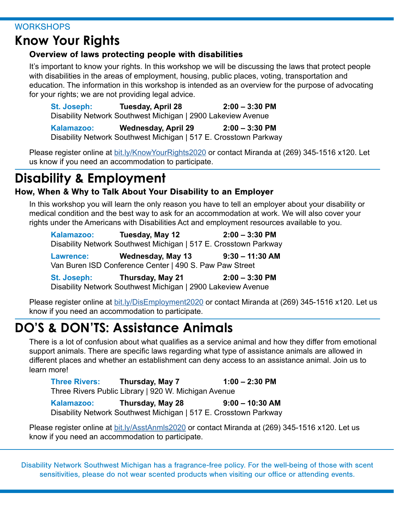#### **WORKSHOPS**

### **Know Your Rights**

### Overview of laws protecting people with disabilities

It's important to know your rights. In this workshop we will be discussing the laws that protect people with disabilities in the areas of employment, housing, public places, voting, transportation and education. The information in this workshop is intended as an overview for the purpose of advocating for your rights; we are not providing legal advice.

| St. Joseph: | <b>Tuesday, April 28</b>                                         | $2:00 - 3:30$ PM |
|-------------|------------------------------------------------------------------|------------------|
|             | Disability Network Southwest Michigan   2900 Lakeview Avenue     |                  |
| Kalamazoo:  | <b>Wednesday, April 29</b>                                       | $2:00 - 3:30$ PM |
|             | Disability Network Southwest Michigan   517 E. Crosstown Parkway |                  |

Please register online at [bit.ly/KnowYourRights2020](http://bit.ly/KnowYourRights2020) or contact Miranda at (269) 345-1516 x120. Let us know if you need an accommodation to participate.

# **Disability & Employment**

### How, When & Why to Talk About Your Disability to an Employer

In this workshop you will learn the only reason you have to tell an employer about your disability or medical condition and the best way to ask for an accommodation at work. We will also cover your rights under the Americans with Disabilities Act and employment resources available to you.

| Kalamazoo:                                              | Tuesday, May 12                                                  | $2:00 - 3:30$ PM  |  |  |
|---------------------------------------------------------|------------------------------------------------------------------|-------------------|--|--|
|                                                         | Disability Network Southwest Michigan   517 E. Crosstown Parkway |                   |  |  |
| <b>Lawrence:</b>                                        | <b>Wednesday, May 13</b>                                         | $9:30 - 11:30$ AM |  |  |
| Van Buren ISD Conference Center   490 S. Paw Paw Street |                                                                  |                   |  |  |
| <b>CALLAGANIA</b>                                       | Thursday, May 04                                                 | $2.20$ DM<br>n.nn |  |  |

**St. Joseph: Thursday, May 21 2:00 – 3:30 PM** Disability Network Southwest Michigan | 2900 Lakeview Avenue

Please register online at [bit.ly/DisEmployment2020](http://bit.ly/DisEmployment2020) or contact Miranda at (269) 345-1516 x120. Let us know if you need an accommodation to participate.

# **DO'S & DON'TS: Assistance Animals**

There is a lot of confusion about what qualifies as a service animal and how they differ from emotional support animals. There are specific laws regarding what type of assistance animals are allowed in different places and whether an establishment can deny access to an assistance animal. Join us to learn more!

**Three Rivers: Thursday, May 7 1:00 – 2:30 PM** Three Rivers Public Library | 920 W. Michigan Avenue

**Kalamazoo: Thursday, May 28 9:00 – 10:30 AM**  Disability Network Southwest Michigan | 517 E. Crosstown Parkway

Please register online at **bit.ly/AsstAnmls2020** or contact Miranda at (269) 345-1516 x120. Let us know if you need an accommodation to participate.

Disability Network Southwest Michigan has a fragrance-free policy. For the well-being of those with scent sensitivities, please do not wear scented products when visiting our office or attending events.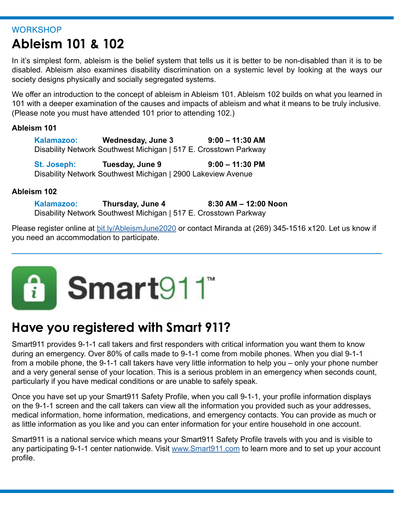#### **WORKSHOP**

# **Ableism 101 & 102**

In it's simplest form, ableism is the belief system that tells us it is better to be non-disabled than it is to be disabled. Ableism also examines disability discrimination on a systemic level by looking at the ways our society designs physically and socially segregated systems.

We offer an introduction to the concept of ableism in Ableism 101. Ableism 102 builds on what you learned in 101 with a deeper examination of the causes and impacts of ableism and what it means to be truly inclusive. (Please note you must have attended 101 prior to attending 102.)

#### **Ableism 101**

| Kalamazoo: | Wednesday, June 3                                                | $9:00 - 11:30$ AM |
|------------|------------------------------------------------------------------|-------------------|
|            | Disability Network Southwest Michigan   517 E. Crosstown Parkway |                   |

**St. Joseph: Tuesday, June 9 9:00 – 11:30 PM** Disability Network Southwest Michigan | 2900 Lakeview Avenue

#### **Ableism 102**

**Kalamazoo: Thursday, June 4 8:30 AM – 12:00 Noon**  Disability Network Southwest Michigan | 517 E. Crosstown Parkway

Please register online at **[bit.ly/AbleismJune2020](http://bit.ly/AbleismJune2020)** or contact Miranda at (269) 345-1516 x120. Let us know if you need an accommodation to participate.



## **Have you registered with Smart 911?**

Smart911 provides 9-1-1 call takers and first responders with critical information you want them to know during an emergency. Over 80% of calls made to 9-1-1 come from mobile phones. When you dial 9-1-1 from a mobile phone, the 9-1-1 call takers have very little information to help you – only your phone number and a very general sense of your location. This is a serious problem in an emergency when seconds count, particularly if you have medical conditions or are unable to safely speak.

Once you have set up your Smart911 Safety Profile, when you call 9-1-1, your profile information displays on the 9-1-1 screen and the call takers can view all the information you provided such as your addresses, medical information, home information, medications, and emergency contacts. You can provide as much or as little information as you like and you can enter information for your entire household in one account.

Smart911 is a national service which means your Smart911 Safety Profile travels with you and is visible to any participating 9-1-1 center nationwide. Visit [www.Smart911.com](http://www.Smart911.com) to learn more and to set up your account profile.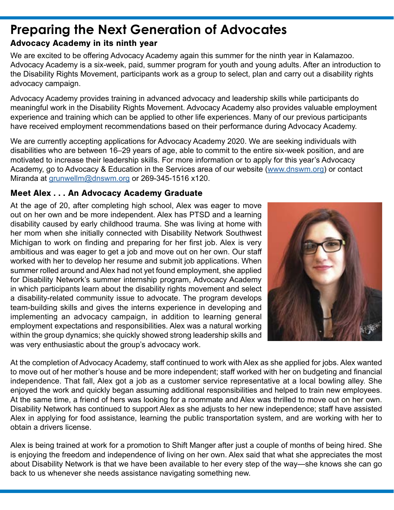# **Preparing the Next Generation of Advocates**

#### Advocacy Academy in its ninth year

We are excited to be offering Advocacy Academy again this summer for the ninth year in Kalamazoo. Advocacy Academy is a six-week, paid, summer program for youth and young adults. After an introduction to the Disability Rights Movement, participants work as a group to select, plan and carry out a disability rights advocacy campaign.

Advocacy Academy provides training in advanced advocacy and leadership skills while participants do meaningful work in the Disability Rights Movement. Advocacy Academy also provides valuable employment experience and training which can be applied to other life experiences. Many of our previous participants have received employment recommendations based on their performance during Advocacy Academy.

We are currently accepting applications for Advocacy Academy 2020. We are seeking individuals with disabilities who are between 16–29 years of age, able to commit to the entire six-week position, and are motivated to increase their leadership skills. For more information or to apply for this year's Advocacy Academy, go to Advocacy & Education in the Services area of our website [\(www.dnswm.org\)](http://www.dnswm.org) or contact Miranda at [grunwellm@dnswm.org](mailto:grunwellm%40dnswm.org?subject=) or 269-345-1516 x120.

#### Meet Alex . . . An Advocacy Academy Graduate

At the age of 20, after completing high school, Alex was eager to move out on her own and be more independent. Alex has PTSD and a learning disability caused by early childhood trauma. She was living at home with her mom when she initially connected with Disability Network Southwest Michigan to work on finding and preparing for her first job. Alex is very ambitious and was eager to get a job and move out on her own. Our staff worked with her to develop her resume and submit job applications. When summer rolled around and Alex had not yet found employment, she applied for Disability Network's summer internship program, Advocacy Academy in which participants learn about the disability rights movement and select a disability-related community issue to advocate. The program develops team-building skills and gives the interns experience in developing and implementing an advocacy campaign, in addition to learning general employment expectations and responsibilities. Alex was a natural working within the group dynamics; she quickly showed strong leadership skills and was very enthusiastic about the group's advocacy work.



At the completion of Advocacy Academy, staff continued to work with Alex as she applied for jobs. Alex wanted to move out of her mother's house and be more independent; staff worked with her on budgeting and financial independence. That fall, Alex got a job as a customer service representative at a local bowling alley. She enjoyed the work and quickly began assuming additional responsibilities and helped to train new employees. At the same time, a friend of hers was looking for a roommate and Alex was thrilled to move out on her own. Disability Network has continued to support Alex as she adjusts to her new independence; staff have assisted Alex in applying for food assistance, learning the public transportation system, and are working with her to obtain a drivers license.

Alex is being trained at work for a promotion to Shift Manger after just a couple of months of being hired. She is enjoying the freedom and independence of living on her own. Alex said that what she appreciates the most about Disability Network is that we have been available to her every step of the way—she knows she can go back to us whenever she needs assistance navigating something new.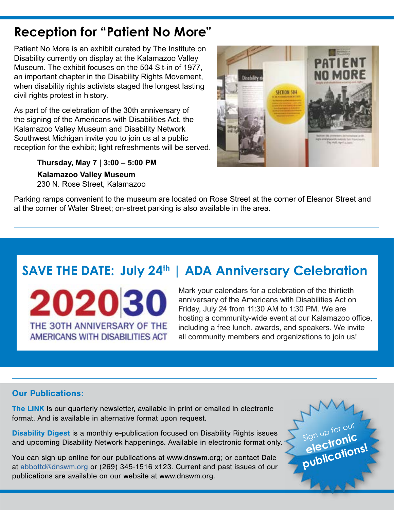## **Reception for "Patient No More"**

Patient No More is an exhibit curated by The Institute on Disability currently on display at the Kalamazoo Valley Museum. The exhibit focuses on the 504 Sit-in of 1977, an important chapter in the Disability Rights Movement, when disability rights activists staged the longest lasting civil rights protest in history.

As part of the celebration of the 30th anniversary of the signing of the Americans with Disabilities Act, the Kalamazoo Valley Museum and Disability Network Southwest Michigan invite you to join us at a public reception for the exhibit; light refreshments will be served.

> **Thursday, May 7 | 3:00 – 5:00 PM Kalamazoo Valley Museum** 230 N. Rose Street, Kalamazoo



Parking ramps convenient to the museum are located on Rose Street at the corner of Eleanor Street and at the corner of Water Street; on-street parking is also available in the area.

# **SAVE THE DATE: July 24<sup>th</sup> | ADA Anniversary Celebration**

202030 THE 30TH ANNIVERSARY OF THE AMERICANS WITH DISABILITIES ACT

Mark your calendars for a celebration of the thirtieth anniversary of the Americans with Disabilities Act on Friday, July 24 from 11:30 AM to 1:30 PM. We are hosting a community-wide event at our Kalamazoo office, including a free lunch, awards, and speakers. We invite all community members and organizations to join us!

#### Our Publications:

The LINK is our quarterly newsletter, available in print or emailed in electronic format. And is available in alternative format upon request.

Disability Digest is a monthly e-publication focused on Disability Rights issues and upcoming Disability Network happenings. Available in electronic format only.

You can sign up online for our publications at www.dnswm.org; or contact Dale at [abbottd@dnswm.org](mailto:abbottd%40dnswm.org?subject=) or (269) 345-1516 x123. Current and past issues of our publications are available on our website at www.dnswm.org.